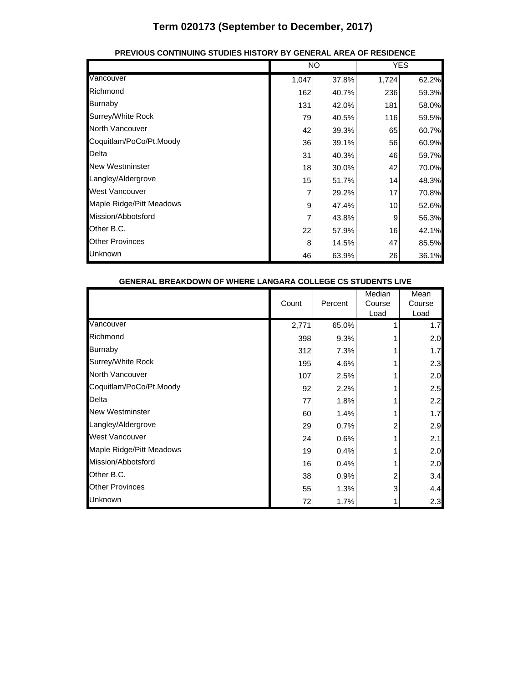|                          |       | <b>NO</b> |       | <b>YES</b> |
|--------------------------|-------|-----------|-------|------------|
| Vancouver                | 1,047 | 37.8%     | 1,724 | 62.2%      |
| Richmond                 | 162   | 40.7%     | 236   | 59.3%      |
| <b>Burnaby</b>           | 131   | 42.0%     | 181   | 58.0%      |
| Surrey/White Rock        | 79    | 40.5%     | 116   | 59.5%      |
| North Vancouver          | 42    | 39.3%     | 65    | 60.7%      |
| Coquitlam/PoCo/Pt.Moody  | 36    | 39.1%     | 56    | 60.9%      |
| Delta                    | 31    | 40.3%     | 46    | 59.7%      |
| <b>New Westminster</b>   | 18    | 30.0%     | 42    | 70.0%      |
| Langley/Aldergrove       | 15    | 51.7%     | 14    | 48.3%      |
| <b>West Vancouver</b>    | 7     | 29.2%     | 17    | 70.8%      |
| Maple Ridge/Pitt Meadows | 9     | 47.4%     | 10    | 52.6%      |
| Mission/Abbotsford       |       | 43.8%     | 9     | 56.3%      |
| Other B.C.               | 22    | 57.9%     | 16    | 42.1%      |
| <b>Other Provinces</b>   | 8     | 14.5%     | 47    | 85.5%      |
| Unknown                  | 46    | 63.9%     | 26    | 36.1%      |

#### **PREVIOUS CONTINUING STUDIES HISTORY BY GENERAL AREA OF RESIDENCE**

| GENERAL BREARDOWN OF WHERE LANGARA COLLEGE CS STUDENTS LIVE |       |         |                          |                        |
|-------------------------------------------------------------|-------|---------|--------------------------|------------------------|
|                                                             | Count | Percent | Median<br>Course<br>Load | Mean<br>Course<br>Load |
| Vancouver                                                   | 2,771 | 65.0%   |                          | 1.7                    |
| Richmond                                                    | 398   | 9.3%    |                          | 2.0                    |
| <b>Burnaby</b>                                              | 312   | 7.3%    |                          | 1.7                    |
| Surrey/White Rock                                           | 195   | 4.6%    |                          | 2.3                    |
| <b>North Vancouver</b>                                      | 107   | 2.5%    |                          | 2.0                    |
| Coquitlam/PoCo/Pt.Moody                                     | 92    | 2.2%    |                          | 2.5                    |
| Delta                                                       | 77    | 1.8%    |                          | 2.2                    |
| <b>New Westminster</b>                                      | 60    | 1.4%    |                          | 1.7                    |
| Langley/Aldergrove                                          | 29    | 0.7%    | 2                        | 2.9                    |
| West Vancouver                                              | 24    | 0.6%    |                          | 2.1                    |
| Maple Ridge/Pitt Meadows                                    | 19    | 0.4%    |                          | 2.0                    |
| Mission/Abbotsford                                          | 16    | 0.4%    |                          | 2.0                    |
| Other B.C.                                                  | 38    | 0.9%    | 2                        | 3.4                    |
| <b>Other Provinces</b>                                      | 55    | 1.3%    | 3                        | 4.4                    |
| Unknown                                                     | 72    | 1.7%    |                          | 2.3                    |

#### **GENERAL BREAKDOWN OF WHERE LANGARA COLLEGE CS STUDENTS LIVE**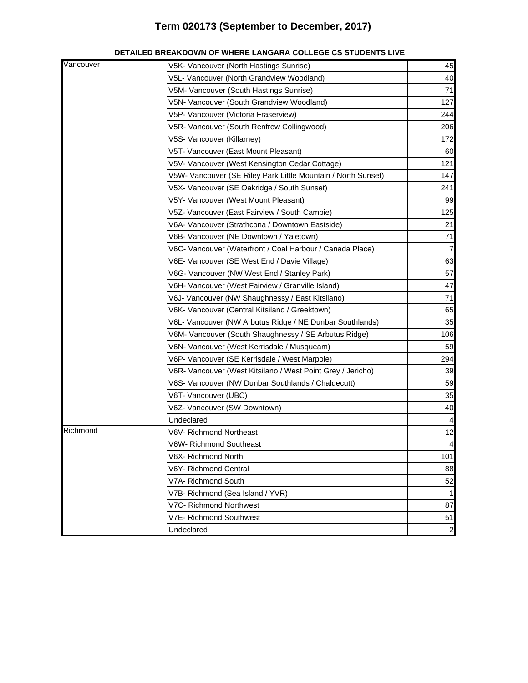| Vancouver | V5K- Vancouver (North Hastings Sunrise)                       | 45             |
|-----------|---------------------------------------------------------------|----------------|
|           | V5L- Vancouver (North Grandview Woodland)                     | 40             |
|           | V5M- Vancouver (South Hastings Sunrise)                       | 71             |
|           | V5N- Vancouver (South Grandview Woodland)                     | 127            |
|           | V5P- Vancouver (Victoria Fraserview)                          | 244            |
|           | V5R- Vancouver (South Renfrew Collingwood)                    | 206            |
|           | V5S- Vancouver (Killarney)                                    | 172            |
|           | V5T- Vancouver (East Mount Pleasant)                          | 60             |
|           | V5V- Vancouver (West Kensington Cedar Cottage)                | 121            |
|           | V5W- Vancouver (SE Riley Park Little Mountain / North Sunset) | 147            |
|           | V5X- Vancouver (SE Oakridge / South Sunset)                   | 241            |
|           | V5Y- Vancouver (West Mount Pleasant)                          | 99             |
|           | V5Z- Vancouver (East Fairview / South Cambie)                 | 125            |
|           | V6A- Vancouver (Strathcona / Downtown Eastside)               | 21             |
|           | V6B- Vancouver (NE Downtown / Yaletown)                       | 71             |
|           | V6C- Vancouver (Waterfront / Coal Harbour / Canada Place)     | $\overline{7}$ |
|           | V6E- Vancouver (SE West End / Davie Village)                  | 63             |
|           | V6G- Vancouver (NW West End / Stanley Park)                   | 57             |
|           | V6H- Vancouver (West Fairview / Granville Island)             | 47             |
|           | V6J- Vancouver (NW Shaughnessy / East Kitsilano)              | 71             |
|           | V6K- Vancouver (Central Kitsilano / Greektown)                | 65             |
|           | V6L- Vancouver (NW Arbutus Ridge / NE Dunbar Southlands)      | 35             |
|           | V6M- Vancouver (South Shaughnessy / SE Arbutus Ridge)         | 106            |
|           | V6N- Vancouver (West Kerrisdale / Musqueam)                   | 59             |
|           | V6P- Vancouver (SE Kerrisdale / West Marpole)                 | 294            |
|           | V6R- Vancouver (West Kitsilano / West Point Grey / Jericho)   | 39             |
|           | V6S- Vancouver (NW Dunbar Southlands / Chaldecutt)            | 59             |
|           | V6T- Vancouver (UBC)                                          | 35             |
|           | V6Z- Vancouver (SW Downtown)                                  | 40             |
|           | Undeclared                                                    | 4              |
| Richmond  | V6V- Richmond Northeast                                       | 12             |
|           | V6W- Richmond Southeast                                       |                |
|           | V6X- Richmond North                                           | 101            |
|           | V6Y- Richmond Central                                         | 88             |
|           | V7A- Richmond South                                           | 52             |
|           | V7B- Richmond (Sea Island / YVR)                              |                |
|           | V7C- Richmond Northwest                                       | 87             |
|           | V7E- Richmond Southwest                                       | 51             |
|           | Undeclared                                                    | $\overline{c}$ |

#### **DETAILED BREAKDOWN OF WHERE LANGARA COLLEGE CS STUDENTS LIVE**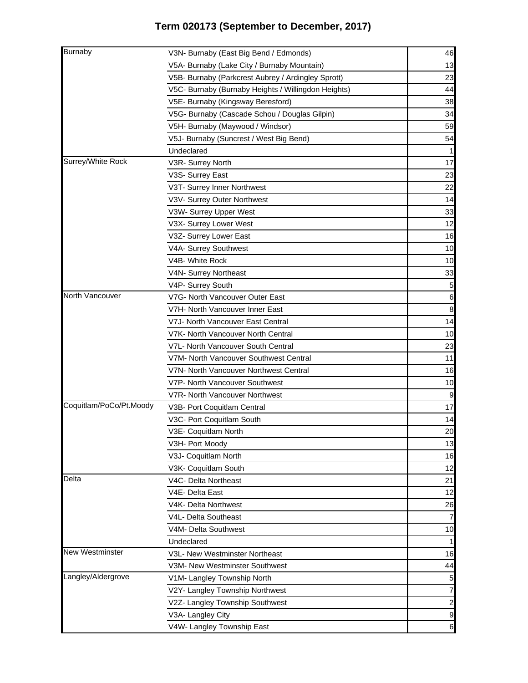| <b>Burnaby</b>          | V3N- Burnaby (East Big Bend / Edmonds)              | 46             |
|-------------------------|-----------------------------------------------------|----------------|
|                         | V5A- Burnaby (Lake City / Burnaby Mountain)         | 13             |
|                         | V5B- Burnaby (Parkcrest Aubrey / Ardingley Sprott)  | 23             |
|                         | V5C- Burnaby (Burnaby Heights / Willingdon Heights) | 44             |
|                         | V5E- Burnaby (Kingsway Beresford)                   | 38             |
|                         | V5G- Burnaby (Cascade Schou / Douglas Gilpin)       | 34             |
|                         | V5H- Burnaby (Maywood / Windsor)                    | 59             |
|                         | V5J- Burnaby (Suncrest / West Big Bend)             | 54             |
|                         | Undeclared                                          |                |
| Surrey/White Rock       | V3R- Surrey North                                   | 17             |
|                         | V3S- Surrey East                                    | 23             |
|                         | V3T- Surrey Inner Northwest                         | 22             |
|                         | V3V- Surrey Outer Northwest                         | 14             |
|                         | V3W- Surrey Upper West                              | 33             |
|                         | V3X- Surrey Lower West                              | 12             |
|                         | V3Z- Surrey Lower East                              | 16             |
|                         | V4A- Surrey Southwest                               | 10             |
|                         | V4B- White Rock                                     | 10             |
|                         | V4N- Surrey Northeast                               | 33             |
|                         | V4P- Surrey South                                   | 5              |
| North Vancouver         | V7G- North Vancouver Outer East                     | 6              |
|                         | V7H- North Vancouver Inner East                     | 8              |
|                         | V7J- North Vancouver East Central                   | 14             |
|                         | V7K- North Vancouver North Central                  | 10             |
|                         | V7L- North Vancouver South Central                  | 23             |
|                         | V7M- North Vancouver Southwest Central              | 11             |
|                         | V7N- North Vancouver Northwest Central              | 16             |
|                         | V7P- North Vancouver Southwest                      | 10             |
|                         | V7R- North Vancouver Northwest                      | 9              |
| Coquitlam/PoCo/Pt.Moody | V3B- Port Coquitlam Central                         | 17             |
|                         | V3C- Port Coquitlam South                           | 14             |
|                         | V3E- Coquitlam North                                | 20             |
|                         | V3H- Port Moody                                     | 13             |
|                         | V3J- Coquitlam North                                | 16             |
|                         | V3K- Coquitlam South                                | 12             |
| Delta                   | V4C- Delta Northeast                                | 21             |
|                         | V4E- Delta East                                     | 12             |
|                         | V4K- Delta Northwest                                | 26             |
|                         | V4L- Delta Southeast                                | 7              |
|                         | V4M- Delta Southwest                                | 10             |
|                         | Undeclared                                          | 1              |
| <b>New Westminster</b>  | V3L- New Westminster Northeast                      | 16             |
|                         | V3M- New Westminster Southwest                      | 44             |
| Langley/Aldergrove      | V1M- Langley Township North                         | $\overline{5}$ |
|                         | V2Y- Langley Township Northwest                     | 7              |
|                         | V2Z- Langley Township Southwest                     | $\mathbf{2}$   |
|                         | V3A- Langley City                                   | $\mathsf g$    |
|                         | V4W- Langley Township East                          | $\,$ 6         |
|                         |                                                     |                |